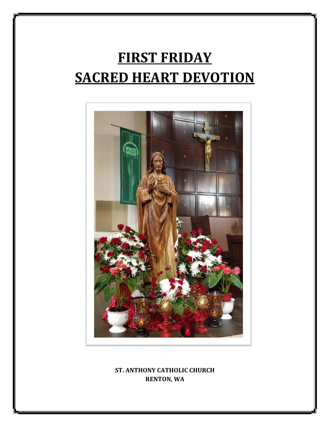# **FIRST FRIDAY SACRED HEART DEVOTION**



#### **ST. ANTHONY CATHOLIC CHURCH RENTON, WA**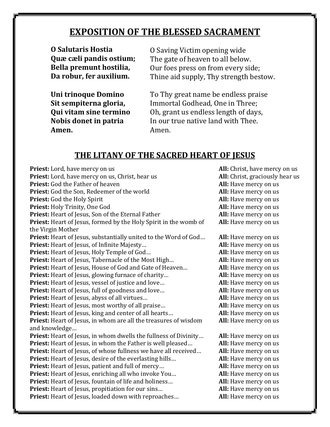## **EXPOSITION OF THE BLESSED SACRAMENT**

**O Salutaris Hostia Quæ cæli pandis ostium; Bella premunt hostilia, Da robur, fer auxilium.**

**Uni trinoque Domino Sit sempiterna gloria, Qui vitam sine termino Nobis donet in patria Amen.**

O Saving Victim opening wide The gate of heaven to all below. Our foes press on from every side; Thine aid supply, Thy strength bestow.

To Thy great name be endless praise Immortal Godhead, One in Three; Oh, grant us endless length of days, In our true native land with Thee. Amen.

## **THE LITANY OF THE SACRED HEART OF JESUS**

**Priest:** Lord, have mercy on us **Priest:** Lord, have mercy on us, Christ, hear us **Priest:** God the Father of heaven **Priest:** God the Son, Redeemer of the world **Priest:** God the Holy Spirit **Priest:** Holy Trinity, One God **Priest:** Heart of Jesus, Son of the Eternal Father **Priest:** Heart of Jesus, formed by the Holy Spirit in the womb of the Virgin Mother **Priest:** Heart of Jesus, substantially united to the Word of God… **Priest:** Heart of Jesus, of Infinite Majesty… **Priest:** Heart of Jesus, Holy Temple of God… **Priest:** Heart of Jesus, Tabernacle of the Most High… **Priest:** Heart of Jesus, House of God and Gate of Heaven… **Priest:** Heart of Jesus, glowing furnace of charity… **Priest:** Heart of Jesus, vessel of justice and love… **Priest:** Heart of Jesus, full of goodness and love… **Priest:** Heart of Jesus, abyss of all virtues… **Priest:** Heart of Jesus, most worthy of all praise… **Priest:** Heart of Jesus, king and center of all hearts… **Priest:** Heart of Jesus, in whom are all the treasures of wisdom and knowledge… **Priest:** Heart of Jesus, in whom dwells the fullness of Divinity... **Priest:** Heart of Jesus, in whom the Father is well pleased... **Priest:** Heart of Jesus, of whose fullness we have all received… **Priest:** Heart of Jesus, desire of the everlasting hills… **Priest:** Heart of Jesus, patient and full of mercy… **Priest:** Heart of Jesus, enriching all who invoke You… **Priest:** Heart of Jesus, fountain of life and holiness… **Priest:** Heart of Jesus, propitiation for our sins… **Priest:** Heart of Jesus, loaded down with reproaches… **All:** Christ, have mercy on us **All:** Christ, graciously hear us **All:** Have mercy on us **All:** Have mercy on us **All:** Have mercy on us **All:** Have mercy on us **All:** Have mercy on us **All:** Have mercy on us **All:** Have mercy on us **All:** Have mercy on us **All:** Have mercy on us **All:** Have mercy on us **All:** Have mercy on us **All:** Have mercy on us **All:** Have mercy on us **All:** Have mercy on us **All:** Have mercy on us **All:** Have mercy on us **All:** Have mercy on us **All:** Have mercy on us **All:** Have mercy on us **All:** Have mercy on us **All:** Have mercy on us **All:** Have mercy on us **All:** Have mercy on us **All:** Have mercy on us **All:** Have mercy on us **All:** Have mercy on us **All:** Have mercy on us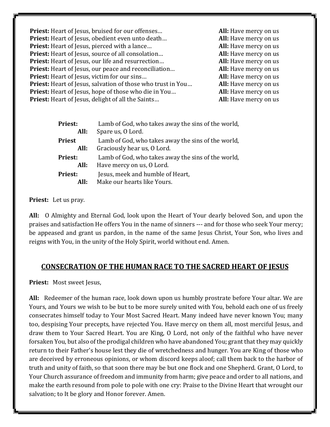| <b>Priest:</b> Heart of Jesus, bruised for our offenses     | All: Have mercy on us |
|-------------------------------------------------------------|-----------------------|
| Priest: Heart of Jesus, obedient even unto death            | All: Have mercy on us |
| <b>Priest:</b> Heart of Jesus, pierced with a lance         | All: Have mercy on us |
| Priest: Heart of Jesus, source of all consolation           | All: Have mercy on us |
| <b>Priest:</b> Heart of Jesus, our life and resurrection    | All: Have mercy on us |
| Priest: Heart of Jesus, our peace and reconciliation        | All: Have mercy on us |
| Priest: Heart of Jesus, victim for our sins                 | All: Have mercy on us |
| Priest: Heart of Jesus, salvation of those who trust in You | All: Have mercy on us |
| Priest: Heart of Jesus, hope of those who die in You        | All: Have mercy on us |
| Priest: Heart of Jesus, delight of all the Saints           | All: Have mercy on us |

| <b>Priest:</b> | Lamb of God, who takes away the sins of the world, |
|----------------|----------------------------------------------------|
| All:           | Spare us, O Lord.                                  |
| <b>Priest</b>  | Lamb of God, who takes away the sins of the world, |
| All:           | Graciously hear us, O Lord.                        |
| <b>Priest:</b> | Lamb of God, who takes away the sins of the world, |
| All:           | Have mercy on us, O Lord.                          |
| <b>Priest:</b> | Jesus, meek and humble of Heart,                   |
| All·           | Make our hearts like Yours.                        |

**Priest:** Let us pray.

**All:** O Almighty and Eternal God, look upon the Heart of Your dearly beloved Son, and upon the praises and satisfaction He offers You in the name of sinners --- and for those who seek Your mercy; be appeased and grant us pardon, in the name of the same Jesus Christ, Your Son, who lives and reigns with You, in the unity of the Holy Spirit, world without end. Amen.

#### **CONSECRATION OF THE HUMAN RACE TO THE SACRED HEART OF JESUS**

**Priest:** Most sweet Jesus,

**All:** Redeemer of the human race, look down upon us humbly prostrate before Your altar. We are Yours, and Yours we wish to be but to be more surely united with You, behold each one of us freely consecrates himself today to Your Most Sacred Heart. Many indeed have never known You; many too, despising Your precepts, have rejected You. Have mercy on them all, most merciful Jesus, and draw them to Your Sacred Heart. You are King, O Lord, not only of the faithful who have never forsaken You, but also of the prodigal children who have abandoned You; grant that they may quickly return to their Father's house lest they die of wretchedness and hunger. You are King of those who are deceived by erroneous opinions, or whom discord keeps aloof; call them back to the harbor of truth and unity of faith, so that soon there may be but one flock and one Shepherd. Grant, O Lord, to Your Church assurance of freedom and immunity from harm; give peace and order to all nations, and make the earth resound from pole to pole with one cry: Praise to the Divine Heart that wrought our salvation; to It be glory and Honor forever. Amen.